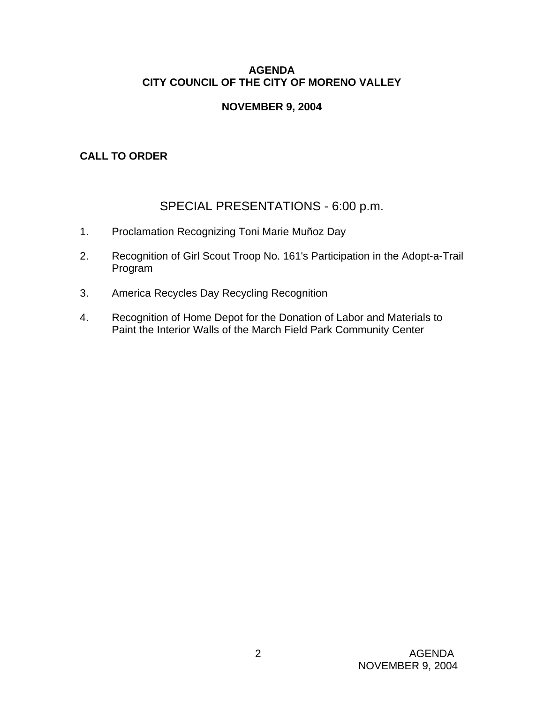# **AGENDA CITY COUNCIL OF THE CITY OF MORENO VALLEY**

# **NOVEMBER 9, 2004**

# **CALL TO ORDER**

# SPECIAL PRESENTATIONS - 6:00 p.m.

- 1. Proclamation Recognizing Toni Marie Muñoz Day
- 2. Recognition of Girl Scout Troop No. 161's Participation in the Adopt-a-Trail Program
- 3. America Recycles Day Recycling Recognition
- 4. Recognition of Home Depot for the Donation of Labor and Materials to Paint the Interior Walls of the March Field Park Community Center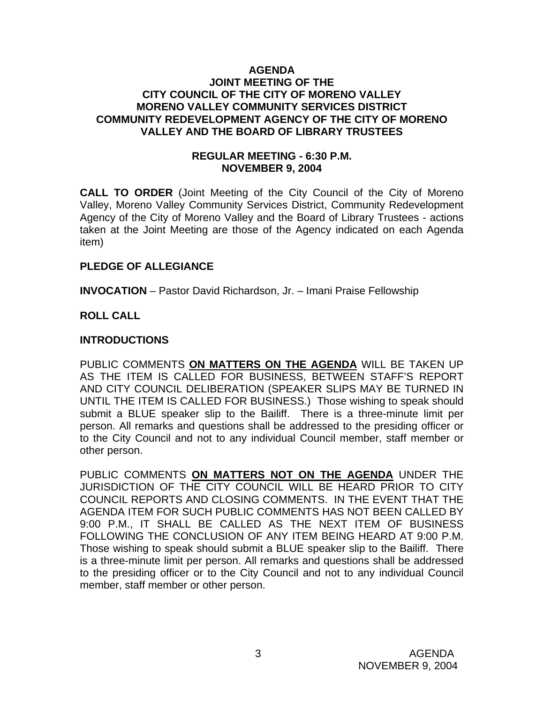### **AGENDA JOINT MEETING OF THE CITY COUNCIL OF THE CITY OF MORENO VALLEY MORENO VALLEY COMMUNITY SERVICES DISTRICT COMMUNITY REDEVELOPMENT AGENCY OF THE CITY OF MORENO VALLEY AND THE BOARD OF LIBRARY TRUSTEES**

### **REGULAR MEETING - 6:30 P.M. NOVEMBER 9, 2004**

**CALL TO ORDER** (Joint Meeting of the City Council of the City of Moreno Valley, Moreno Valley Community Services District, Community Redevelopment Agency of the City of Moreno Valley and the Board of Library Trustees - actions taken at the Joint Meeting are those of the Agency indicated on each Agenda item)

### **PLEDGE OF ALLEGIANCE**

**INVOCATION** – Pastor David Richardson, Jr. – Imani Praise Fellowship

### **ROLL CALL**

#### **INTRODUCTIONS**

PUBLIC COMMENTS **ON MATTERS ON THE AGENDA** WILL BE TAKEN UP AS THE ITEM IS CALLED FOR BUSINESS, BETWEEN STAFF'S REPORT AND CITY COUNCIL DELIBERATION (SPEAKER SLIPS MAY BE TURNED IN UNTIL THE ITEM IS CALLED FOR BUSINESS.) Those wishing to speak should submit a BLUE speaker slip to the Bailiff. There is a three-minute limit per person. All remarks and questions shall be addressed to the presiding officer or to the City Council and not to any individual Council member, staff member or other person.

PUBLIC COMMENTS **ON MATTERS NOT ON THE AGENDA** UNDER THE JURISDICTION OF THE CITY COUNCIL WILL BE HEARD PRIOR TO CITY COUNCIL REPORTS AND CLOSING COMMENTS. IN THE EVENT THAT THE AGENDA ITEM FOR SUCH PUBLIC COMMENTS HAS NOT BEEN CALLED BY 9:00 P.M., IT SHALL BE CALLED AS THE NEXT ITEM OF BUSINESS FOLLOWING THE CONCLUSION OF ANY ITEM BEING HEARD AT 9:00 P.M. Those wishing to speak should submit a BLUE speaker slip to the Bailiff. There is a three-minute limit per person. All remarks and questions shall be addressed to the presiding officer or to the City Council and not to any individual Council member, staff member or other person.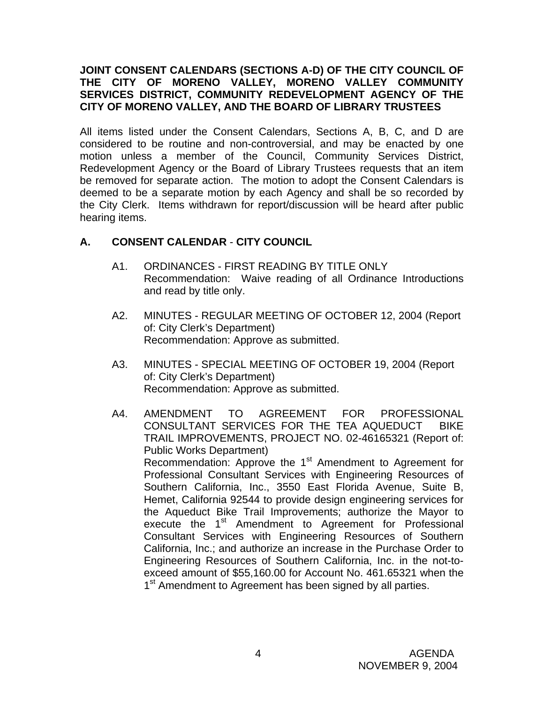## **JOINT CONSENT CALENDARS (SECTIONS A-D) OF THE CITY COUNCIL OF THE CITY OF MORENO VALLEY, MORENO VALLEY COMMUNITY SERVICES DISTRICT, COMMUNITY REDEVELOPMENT AGENCY OF THE CITY OF MORENO VALLEY, AND THE BOARD OF LIBRARY TRUSTEES**

All items listed under the Consent Calendars, Sections A, B, C, and D are considered to be routine and non-controversial, and may be enacted by one motion unless a member of the Council, Community Services District, Redevelopment Agency or the Board of Library Trustees requests that an item be removed for separate action. The motion to adopt the Consent Calendars is deemed to be a separate motion by each Agency and shall be so recorded by the City Clerk. Items withdrawn for report/discussion will be heard after public hearing items.

# **A. CONSENT CALENDAR** - **CITY COUNCIL**

- A1. ORDINANCES FIRST READING BY TITLE ONLY Recommendation: Waive reading of all Ordinance Introductions and read by title only.
- A2. MINUTES REGULAR MEETING OF OCTOBER 12, 2004 (Report of: City Clerk's Department) Recommendation: Approve as submitted.
- A3. MINUTES SPECIAL MEETING OF OCTOBER 19, 2004 (Report of: City Clerk's Department) Recommendation: Approve as submitted.
- A4. AMENDMENT TO AGREEMENT FOR PROFESSIONAL CONSULTANT SERVICES FOR THE TEA AQUEDUCT BIKE TRAIL IMPROVEMENTS, PROJECT NO. 02-46165321 (Report of: Public Works Department) Recommendation: Approve the 1<sup>st</sup> Amendment to Agreement for Professional Consultant Services with Engineering Resources of Southern California, Inc., 3550 East Florida Avenue, Suite B, Hemet, California 92544 to provide design engineering services for the Aqueduct Bike Trail Improvements; authorize the Mayor to execute the 1<sup>st</sup> Amendment to Agreement for Professional Consultant Services with Engineering Resources of Southern California, Inc.; and authorize an increase in the Purchase Order to Engineering Resources of Southern California, Inc. in the not-toexceed amount of \$55,160.00 for Account No. 461.65321 when the 1<sup>st</sup> Amendment to Agreement has been signed by all parties.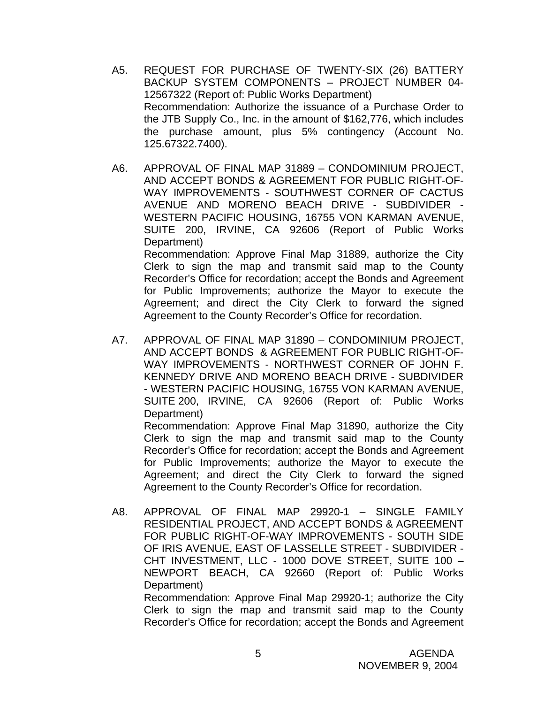- A5. REQUEST FOR PURCHASE OF TWENTY-SIX (26) BATTERY BACKUP SYSTEM COMPONENTS – PROJECT NUMBER 04- 12567322 (Report of: Public Works Department) Recommendation: Authorize the issuance of a Purchase Order to the JTB Supply Co., Inc. in the amount of \$162,776, which includes the purchase amount, plus 5% contingency (Account No. 125.67322.7400).
- A6. APPROVAL OF FINAL MAP 31889 CONDOMINIUM PROJECT, AND ACCEPT BONDS & AGREEMENT FOR PUBLIC RIGHT-OF-WAY IMPROVEMENTS - SOUTHWEST CORNER OF CACTUS AVENUE AND MORENO BEACH DRIVE - SUBDIVIDER - WESTERN PACIFIC HOUSING, 16755 VON KARMAN AVENUE, SUITE 200, IRVINE, CA 92606 (Report of Public Works Department) Recommendation: Approve Final Map 31889, authorize the City Clerk to sign the map and transmit said map to the County

Recorder's Office for recordation; accept the Bonds and Agreement for Public Improvements; authorize the Mayor to execute the Agreement; and direct the City Clerk to forward the signed Agreement to the County Recorder's Office for recordation.

A7. APPROVAL OF FINAL MAP 31890 – CONDOMINIUM PROJECT, AND ACCEPT BONDS & AGREEMENT FOR PUBLIC RIGHT-OF-WAY IMPROVEMENTS - NORTHWEST CORNER OF JOHN F. KENNEDY DRIVE AND MORENO BEACH DRIVE - SUBDIVIDER - WESTERN PACIFIC HOUSING, 16755 VON KARMAN AVENUE, SUITE 200, IRVINE, CA 92606 (Report of: Public Works Department)

 Recommendation: Approve Final Map 31890, authorize the City Clerk to sign the map and transmit said map to the County Recorder's Office for recordation; accept the Bonds and Agreement for Public Improvements; authorize the Mayor to execute the Agreement; and direct the City Clerk to forward the signed Agreement to the County Recorder's Office for recordation.

A8. APPROVAL OF FINAL MAP 29920-1 – SINGLE FAMILY RESIDENTIAL PROJECT, AND ACCEPT BONDS & AGREEMENT FOR PUBLIC RIGHT-OF-WAY IMPROVEMENTS - SOUTH SIDE OF IRIS AVENUE, EAST OF LASSELLE STREET - SUBDIVIDER - CHT INVESTMENT, LLC - 1000 DOVE STREET, SUITE 100 – NEWPORT BEACH, CA 92660 (Report of: Public Works Department)

 Recommendation: Approve Final Map 29920-1; authorize the City Clerk to sign the map and transmit said map to the County Recorder's Office for recordation; accept the Bonds and Agreement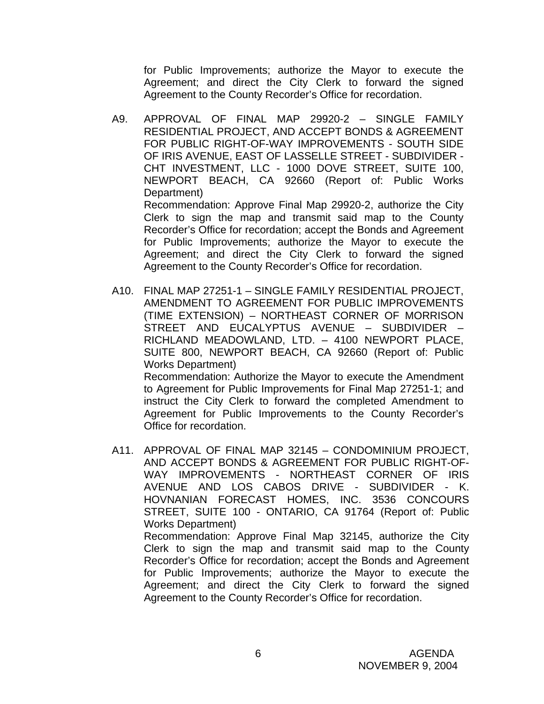for Public Improvements; authorize the Mayor to execute the Agreement; and direct the City Clerk to forward the signed Agreement to the County Recorder's Office for recordation.

- A9. APPROVAL OF FINAL MAP 29920-2 SINGLE FAMILY RESIDENTIAL PROJECT, AND ACCEPT BONDS & AGREEMENT FOR PUBLIC RIGHT-OF-WAY IMPROVEMENTS - SOUTH SIDE OF IRIS AVENUE, EAST OF LASSELLE STREET - SUBDIVIDER - CHT INVESTMENT, LLC - 1000 DOVE STREET, SUITE 100, NEWPORT BEACH, CA 92660 (Report of: Public Works Department) Recommendation: Approve Final Map 29920-2, authorize the City Clerk to sign the map and transmit said map to the County Recorder's Office for recordation; accept the Bonds and Agreement for Public Improvements; authorize the Mayor to execute the Agreement; and direct the City Clerk to forward the signed Agreement to the County Recorder's Office for recordation.
- A10. FINAL MAP 27251-1 SINGLE FAMILY RESIDENTIAL PROJECT, AMENDMENT TO AGREEMENT FOR PUBLIC IMPROVEMENTS (TIME EXTENSION) – NORTHEAST CORNER OF MORRISON STREET AND EUCALYPTUS AVENUE – SUBDIVIDER – RICHLAND MEADOWLAND, LTD. – 4100 NEWPORT PLACE, SUITE 800, NEWPORT BEACH, CA 92660 (Report of: Public Works Department) Recommendation: Authorize the Mayor to execute the Amendment

to Agreement for Public Improvements for Final Map 27251-1; and instruct the City Clerk to forward the completed Amendment to Agreement for Public Improvements to the County Recorder's Office for recordation.

A11. APPROVAL OF FINAL MAP 32145 – CONDOMINIUM PROJECT, AND ACCEPT BONDS & AGREEMENT FOR PUBLIC RIGHT-OF-WAY IMPROVEMENTS - NORTHEAST CORNER OF IRIS AVENUE AND LOS CABOS DRIVE - SUBDIVIDER - K. HOVNANIAN FORECAST HOMES, INC. 3536 CONCOURS STREET, SUITE 100 - ONTARIO, CA 91764 (Report of: Public Works Department)

 Recommendation: Approve Final Map 32145, authorize the City Clerk to sign the map and transmit said map to the County Recorder's Office for recordation; accept the Bonds and Agreement for Public Improvements; authorize the Mayor to execute the Agreement; and direct the City Clerk to forward the signed Agreement to the County Recorder's Office for recordation.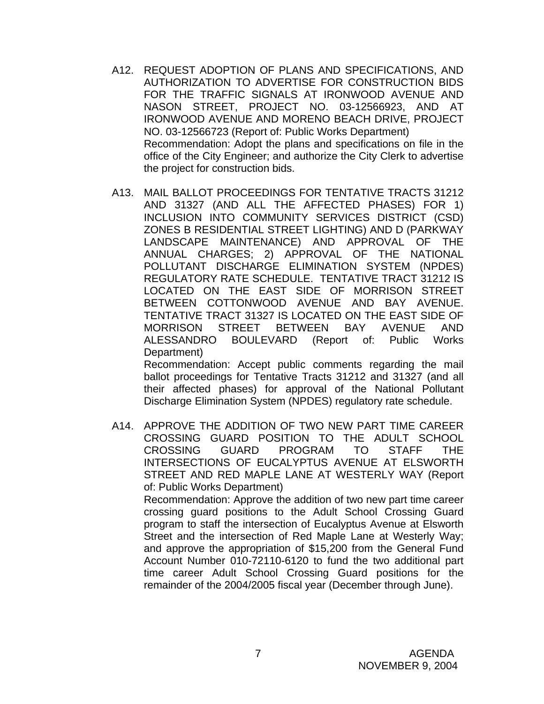- A12. REQUEST ADOPTION OF PLANS AND SPECIFICATIONS, AND AUTHORIZATION TO ADVERTISE FOR CONSTRUCTION BIDS FOR THE TRAFFIC SIGNALS AT IRONWOOD AVENUE AND NASON STREET, PROJECT NO. 03-12566923, AND AT IRONWOOD AVENUE AND MORENO BEACH DRIVE, PROJECT NO. 03-12566723 (Report of: Public Works Department) Recommendation: Adopt the plans and specifications on file in the office of the City Engineer; and authorize the City Clerk to advertise the project for construction bids.
- A13. MAIL BALLOT PROCEEDINGS FOR TENTATIVE TRACTS 31212 AND 31327 (AND ALL THE AFFECTED PHASES) FOR 1) INCLUSION INTO COMMUNITY SERVICES DISTRICT (CSD) ZONES B RESIDENTIAL STREET LIGHTING) AND D (PARKWAY LANDSCAPE MAINTENANCE) AND APPROVAL OF THE ANNUAL CHARGES; 2) APPROVAL OF THE NATIONAL POLLUTANT DISCHARGE ELIMINATION SYSTEM (NPDES) REGULATORY RATE SCHEDULE. TENTATIVE TRACT 31212 IS LOCATED ON THE EAST SIDE OF MORRISON STREET BETWEEN COTTONWOOD AVENUE AND BAY AVENUE. TENTATIVE TRACT 31327 IS LOCATED ON THE EAST SIDE OF MORRISON STREET BETWEEN BAY AVENUE AND ALESSANDRO BOULEVARD (Report of: Public Works Department)

 Recommendation: Accept public comments regarding the mail ballot proceedings for Tentative Tracts 31212 and 31327 (and all their affected phases) for approval of the National Pollutant Discharge Elimination System (NPDES) regulatory rate schedule.

A14. APPROVE THE ADDITION OF TWO NEW PART TIME CAREER CROSSING GUARD POSITION TO THE ADULT SCHOOL CROSSING GUARD PROGRAM TO STAFF THE INTERSECTIONS OF EUCALYPTUS AVENUE AT ELSWORTH STREET AND RED MAPLE LANE AT WESTERLY WAY (Report of: Public Works Department) Recommendation: Approve the addition of two new part time career

crossing guard positions to the Adult School Crossing Guard program to staff the intersection of Eucalyptus Avenue at Elsworth Street and the intersection of Red Maple Lane at Westerly Way; and approve the appropriation of \$15,200 from the General Fund Account Number 010-72110-6120 to fund the two additional part time career Adult School Crossing Guard positions for the remainder of the 2004/2005 fiscal year (December through June).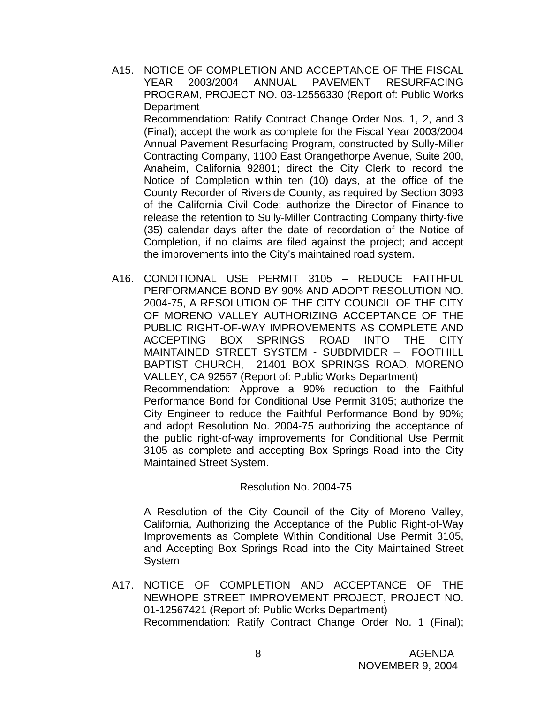- A15. NOTICE OF COMPLETION AND ACCEPTANCE OF THE FISCAL YEAR 2003/2004 ANNUAL PAVEMENT RESURFACING PROGRAM, PROJECT NO. 03-12556330 (Report of: Public Works **Department**  Recommendation: Ratify Contract Change Order Nos. 1, 2, and 3 (Final); accept the work as complete for the Fiscal Year 2003/2004 Annual Pavement Resurfacing Program, constructed by Sully-Miller Contracting Company, 1100 East Orangethorpe Avenue, Suite 200, Anaheim, California 92801; direct the City Clerk to record the Notice of Completion within ten (10) days, at the office of the County Recorder of Riverside County, as required by Section 3093 of the California Civil Code; authorize the Director of Finance to release the retention to Sully-Miller Contracting Company thirty-five (35) calendar days after the date of recordation of the Notice of Completion, if no claims are filed against the project; and accept the improvements into the City's maintained road system.
- A16. CONDITIONAL USE PERMIT 3105 REDUCE FAITHFUL PERFORMANCE BOND BY 90% AND ADOPT RESOLUTION NO. 2004-75, A RESOLUTION OF THE CITY COUNCIL OF THE CITY OF MORENO VALLEY AUTHORIZING ACCEPTANCE OF THE PUBLIC RIGHT-OF-WAY IMPROVEMENTS AS COMPLETE AND ACCEPTING BOX SPRINGS ROAD INTO THE CITY MAINTAINED STREET SYSTEM - SUBDIVIDER – FOOTHILL BAPTIST CHURCH, 21401 BOX SPRINGS ROAD, MORENO VALLEY, CA 92557 (Report of: Public Works Department) Recommendation: Approve a 90% reduction to the Faithful Performance Bond for Conditional Use Permit 3105; authorize the City Engineer to reduce the Faithful Performance Bond by 90%; and adopt Resolution No. 2004-75 authorizing the acceptance of the public right-of-way improvements for Conditional Use Permit 3105 as complete and accepting Box Springs Road into the City Maintained Street System.

#### Resolution No. 2004-75

 A Resolution of the City Council of the City of Moreno Valley, California, Authorizing the Acceptance of the Public Right-of-Way Improvements as Complete Within Conditional Use Permit 3105, and Accepting Box Springs Road into the City Maintained Street System

A17. NOTICE OF COMPLETION AND ACCEPTANCE OF THE NEWHOPE STREET IMPROVEMENT PROJECT, PROJECT NO. 01-12567421 (Report of: Public Works Department) Recommendation: Ratify Contract Change Order No. 1 (Final);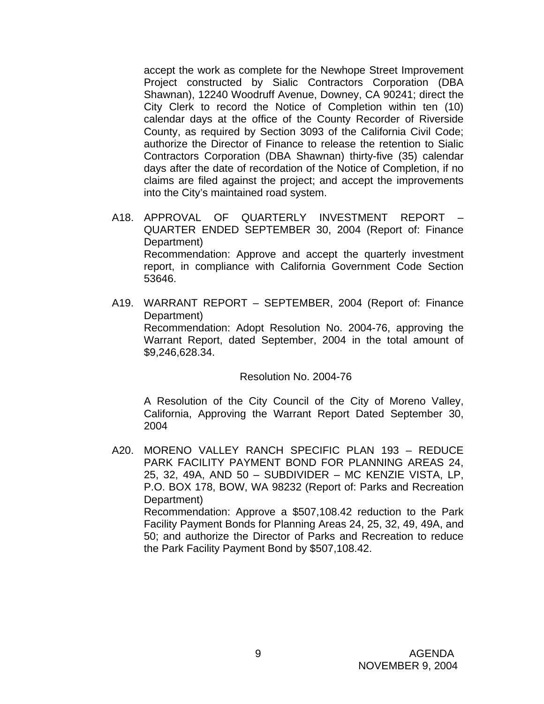accept the work as complete for the Newhope Street Improvement Project constructed by Sialic Contractors Corporation (DBA Shawnan), 12240 Woodruff Avenue, Downey, CA 90241; direct the City Clerk to record the Notice of Completion within ten (10) calendar days at the office of the County Recorder of Riverside County, as required by Section 3093 of the California Civil Code; authorize the Director of Finance to release the retention to Sialic Contractors Corporation (DBA Shawnan) thirty-five (35) calendar days after the date of recordation of the Notice of Completion, if no claims are filed against the project; and accept the improvements into the City's maintained road system.

- A18. APPROVAL OF QUARTERLY INVESTMENT REPORT QUARTER ENDED SEPTEMBER 30, 2004 (Report of: Finance Department) Recommendation: Approve and accept the quarterly investment report, in compliance with California Government Code Section 53646.
- A19. WARRANT REPORT SEPTEMBER, 2004 (Report of: Finance Department) Recommendation: Adopt Resolution No. 2004-76, approving the Warrant Report, dated September, 2004 in the total amount of \$9,246,628.34.

Resolution No. 2004-76

 A Resolution of the City Council of the City of Moreno Valley, California, Approving the Warrant Report Dated September 30, 2004

A20. MORENO VALLEY RANCH SPECIFIC PLAN 193 – REDUCE PARK FACILITY PAYMENT BOND FOR PLANNING AREAS 24, 25, 32, 49A, AND 50 – SUBDIVIDER – MC KENZIE VISTA, LP, P.O. BOX 178, BOW, WA 98232 (Report of: Parks and Recreation Department) Recommendation: Approve a \$507,108.42 reduction to the Park

Facility Payment Bonds for Planning Areas 24, 25, 32, 49, 49A, and 50; and authorize the Director of Parks and Recreation to reduce the Park Facility Payment Bond by \$507,108.42.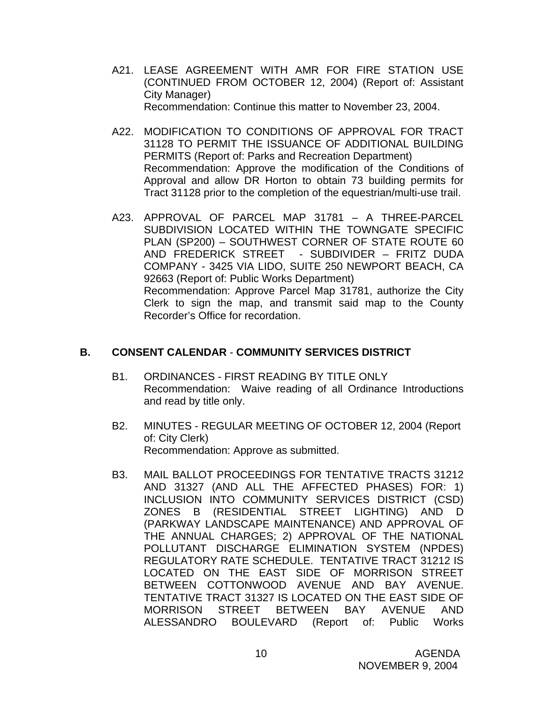- A21. LEASE AGREEMENT WITH AMR FOR FIRE STATION USE (CONTINUED FROM OCTOBER 12, 2004) (Report of: Assistant City Manager) Recommendation: Continue this matter to November 23, 2004.
- A22. MODIFICATION TO CONDITIONS OF APPROVAL FOR TRACT 31128 TO PERMIT THE ISSUANCE OF ADDITIONAL BUILDING PERMITS (Report of: Parks and Recreation Department) Recommendation: Approve the modification of the Conditions of Approval and allow DR Horton to obtain 73 building permits for Tract 31128 prior to the completion of the equestrian/multi-use trail.
- A23. APPROVAL OF PARCEL MAP 31781 A THREE-PARCEL SUBDIVISION LOCATED WITHIN THE TOWNGATE SPECIFIC PLAN (SP200) – SOUTHWEST CORNER OF STATE ROUTE 60 AND FREDERICK STREET - SUBDIVIDER – FRITZ DUDA COMPANY - 3425 VIA LIDO, SUITE 250 NEWPORT BEACH, CA 92663 (Report of: Public Works Department) Recommendation: Approve Parcel Map 31781, authorize the City Clerk to sign the map, and transmit said map to the County Recorder's Office for recordation.

# **B. CONSENT CALENDAR** - **COMMUNITY SERVICES DISTRICT**

- B1. ORDINANCES FIRST READING BY TITLE ONLY Recommendation: Waive reading of all Ordinance Introductions and read by title only.
- B2. MINUTES REGULAR MEETING OF OCTOBER 12, 2004 (Report of: City Clerk) Recommendation: Approve as submitted.
- B3. MAIL BALLOT PROCEEDINGS FOR TENTATIVE TRACTS 31212 AND 31327 (AND ALL THE AFFECTED PHASES) FOR: 1) INCLUSION INTO COMMUNITY SERVICES DISTRICT (CSD) ZONES B (RESIDENTIAL STREET LIGHTING) AND D (PARKWAY LANDSCAPE MAINTENANCE) AND APPROVAL OF THE ANNUAL CHARGES; 2) APPROVAL OF THE NATIONAL POLLUTANT DISCHARGE ELIMINATION SYSTEM (NPDES) REGULATORY RATE SCHEDULE. TENTATIVE TRACT 31212 IS LOCATED ON THE EAST SIDE OF MORRISON STREET BETWEEN COTTONWOOD AVENUE AND BAY AVENUE. TENTATIVE TRACT 31327 IS LOCATED ON THE EAST SIDE OF MORRISON STREET BETWEEN BAY AVENUE AND ALESSANDRO BOULEVARD (Report of: Public Works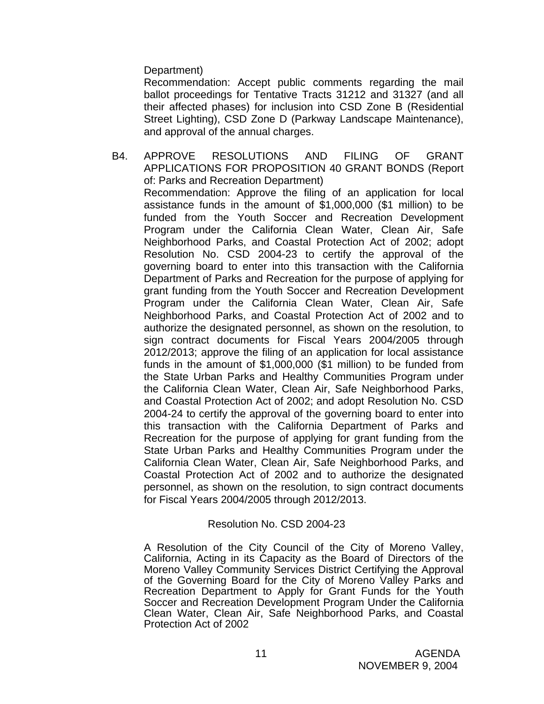Department)

 Recommendation: Accept public comments regarding the mail ballot proceedings for Tentative Tracts 31212 and 31327 (and all their affected phases) for inclusion into CSD Zone B (Residential Street Lighting), CSD Zone D (Parkway Landscape Maintenance), and approval of the annual charges.

B4. APPROVE RESOLUTIONS AND FILING OF GRANT APPLICATIONS FOR PROPOSITION 40 GRANT BONDS (Report of: Parks and Recreation Department) Recommendation: Approve the filing of an application for local assistance funds in the amount of \$1,000,000 (\$1 million) to be funded from the Youth Soccer and Recreation Development Program under the California Clean Water, Clean Air, Safe Neighborhood Parks, and Coastal Protection Act of 2002; adopt Resolution No. CSD 2004-23 to certify the approval of the governing board to enter into this transaction with the California Department of Parks and Recreation for the purpose of applying for grant funding from the Youth Soccer and Recreation Development Program under the California Clean Water, Clean Air, Safe Neighborhood Parks, and Coastal Protection Act of 2002 and to authorize the designated personnel, as shown on the resolution, to sign contract documents for Fiscal Years 2004/2005 through 2012/2013; approve the filing of an application for local assistance funds in the amount of \$1,000,000 (\$1 million) to be funded from the State Urban Parks and Healthy Communities Program under the California Clean Water, Clean Air, Safe Neighborhood Parks, and Coastal Protection Act of 2002; and adopt Resolution No. CSD 2004-24 to certify the approval of the governing board to enter into this transaction with the California Department of Parks and Recreation for the purpose of applying for grant funding from the State Urban Parks and Healthy Communities Program under the California Clean Water, Clean Air, Safe Neighborhood Parks, and Coastal Protection Act of 2002 and to authorize the designated personnel, as shown on the resolution, to sign contract documents for Fiscal Years 2004/2005 through 2012/2013.

### Resolution No. CSD 2004-23

 A Resolution of the City Council of the City of Moreno Valley, California, Acting in its Capacity as the Board of Directors of the Moreno Valley Community Services District Certifying the Approval of the Governing Board for the City of Moreno Valley Parks and Recreation Department to Apply for Grant Funds for the Youth Soccer and Recreation Development Program Under the California Clean Water, Clean Air, Safe Neighborhood Parks, and Coastal Protection Act of 2002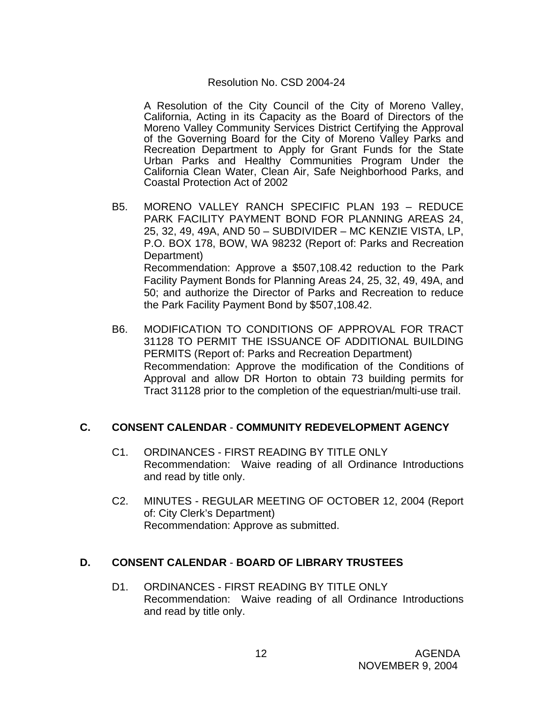### Resolution No. CSD 2004-24

 A Resolution of the City Council of the City of Moreno Valley, California, Acting in its Capacity as the Board of Directors of the Moreno Valley Community Services District Certifying the Approval of the Governing Board for the City of Moreno Valley Parks and Recreation Department to Apply for Grant Funds for the State Urban Parks and Healthy Communities Program Under the California Clean Water, Clean Air, Safe Neighborhood Parks, and Coastal Protection Act of 2002

- B5. MORENO VALLEY RANCH SPECIFIC PLAN 193 REDUCE PARK FACILITY PAYMENT BOND FOR PLANNING AREAS 24, 25, 32, 49, 49A, AND 50 – SUBDIVIDER – MC KENZIE VISTA, LP, P.O. BOX 178, BOW, WA 98232 (Report of: Parks and Recreation Department) Recommendation: Approve a \$507,108.42 reduction to the Park Facility Payment Bonds for Planning Areas 24, 25, 32, 49, 49A, and 50; and authorize the Director of Parks and Recreation to reduce the Park Facility Payment Bond by \$507,108.42.
- B6. MODIFICATION TO CONDITIONS OF APPROVAL FOR TRACT 31128 TO PERMIT THE ISSUANCE OF ADDITIONAL BUILDING PERMITS (Report of: Parks and Recreation Department) Recommendation: Approve the modification of the Conditions of Approval and allow DR Horton to obtain 73 building permits for Tract 31128 prior to the completion of the equestrian/multi-use trail.

## **C. CONSENT CALENDAR** - **COMMUNITY REDEVELOPMENT AGENCY**

- C1. ORDINANCES FIRST READING BY TITLE ONLY Recommendation: Waive reading of all Ordinance Introductions and read by title only.
- C2. MINUTES REGULAR MEETING OF OCTOBER 12, 2004 (Report of: City Clerk's Department) Recommendation: Approve as submitted.

### **D. CONSENT CALENDAR** - **BOARD OF LIBRARY TRUSTEES**

D1. ORDINANCES - FIRST READING BY TITLE ONLY Recommendation: Waive reading of all Ordinance Introductions and read by title only.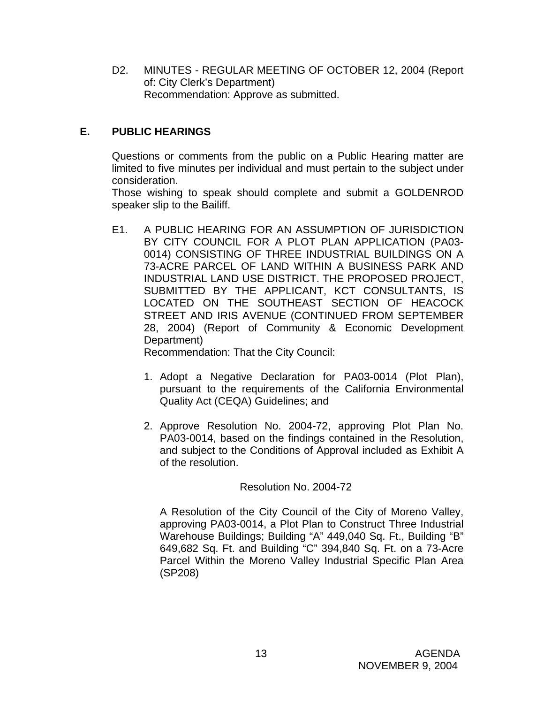D2. MINUTES - REGULAR MEETING OF OCTOBER 12, 2004 (Report of: City Clerk's Department) Recommendation: Approve as submitted.

# **E. PUBLIC HEARINGS**

Questions or comments from the public on a Public Hearing matter are limited to five minutes per individual and must pertain to the subject under consideration.

 Those wishing to speak should complete and submit a GOLDENROD speaker slip to the Bailiff.

E1. A PUBLIC HEARING FOR AN ASSUMPTION OF JURISDICTION BY CITY COUNCIL FOR A PLOT PLAN APPLICATION (PA03- 0014) CONSISTING OF THREE INDUSTRIAL BUILDINGS ON A 73-ACRE PARCEL OF LAND WITHIN A BUSINESS PARK AND INDUSTRIAL LAND USE DISTRICT. THE PROPOSED PROJECT, SUBMITTED BY THE APPLICANT, KCT CONSULTANTS, IS LOCATED ON THE SOUTHEAST SECTION OF HEACOCK STREET AND IRIS AVENUE (CONTINUED FROM SEPTEMBER 28, 2004) (Report of Community & Economic Development Department)

Recommendation: That the City Council:

- 1. Adopt a Negative Declaration for PA03-0014 (Plot Plan), pursuant to the requirements of the California Environmental Quality Act (CEQA) Guidelines; and
- 2. Approve Resolution No. 2004-72, approving Plot Plan No. PA03-0014, based on the findings contained in the Resolution, and subject to the Conditions of Approval included as Exhibit A of the resolution.

### Resolution No. 2004-72

 A Resolution of the City Council of the City of Moreno Valley, approving PA03-0014, a Plot Plan to Construct Three Industrial Warehouse Buildings; Building "A" 449,040 Sq. Ft., Building "B" 649,682 Sq. Ft. and Building "C" 394,840 Sq. Ft. on a 73-Acre Parcel Within the Moreno Valley Industrial Specific Plan Area (SP208)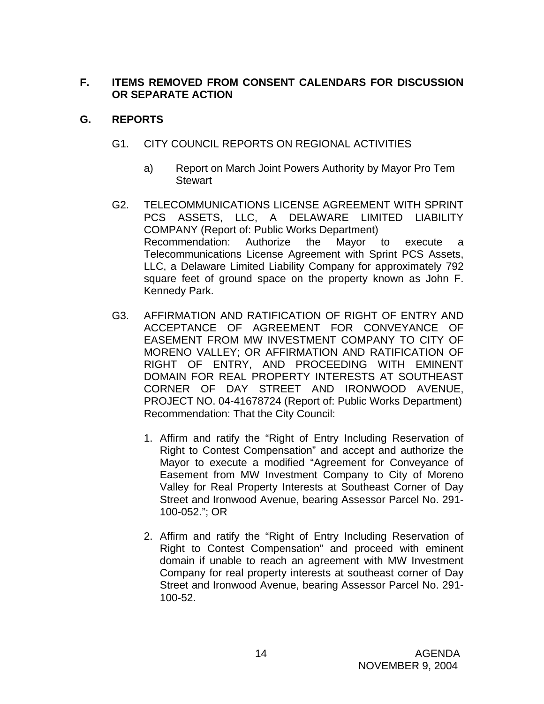# **F. ITEMS REMOVED FROM CONSENT CALENDARS FOR DISCUSSION OR SEPARATE ACTION**

# **G. REPORTS**

- G1. CITY COUNCIL REPORTS ON REGIONAL ACTIVITIES
	- a) Report on March Joint Powers Authority by Mayor Pro Tem **Stewart**
- G2. TELECOMMUNICATIONS LICENSE AGREEMENT WITH SPRINT PCS ASSETS, LLC, A DELAWARE LIMITED LIABILITY COMPANY (Report of: Public Works Department)<br>Recommendation: Authorize the Mayor to execute Recommendation: Authorize the Mayor to execute a Telecommunications License Agreement with Sprint PCS Assets, LLC, a Delaware Limited Liability Company for approximately 792 square feet of ground space on the property known as John F. Kennedy Park.
- G3. AFFIRMATION AND RATIFICATION OF RIGHT OF ENTRY AND ACCEPTANCE OF AGREEMENT FOR CONVEYANCE OF EASEMENT FROM MW INVESTMENT COMPANY TO CITY OF MORENO VALLEY; OR AFFIRMATION AND RATIFICATION OF RIGHT OF ENTRY, AND PROCEEDING WITH EMINENT DOMAIN FOR REAL PROPERTY INTERESTS AT SOUTHEAST CORNER OF DAY STREET AND IRONWOOD AVENUE, PROJECT NO. 04-41678724 (Report of: Public Works Department) Recommendation: That the City Council:
	- 1. Affirm and ratify the "Right of Entry Including Reservation of Right to Contest Compensation" and accept and authorize the Mayor to execute a modified "Agreement for Conveyance of Easement from MW Investment Company to City of Moreno Valley for Real Property Interests at Southeast Corner of Day Street and Ironwood Avenue, bearing Assessor Parcel No. 291- 100-052."; OR
	- 2. Affirm and ratify the "Right of Entry Including Reservation of Right to Contest Compensation" and proceed with eminent domain if unable to reach an agreement with MW Investment Company for real property interests at southeast corner of Day Street and Ironwood Avenue, bearing Assessor Parcel No. 291- 100-52.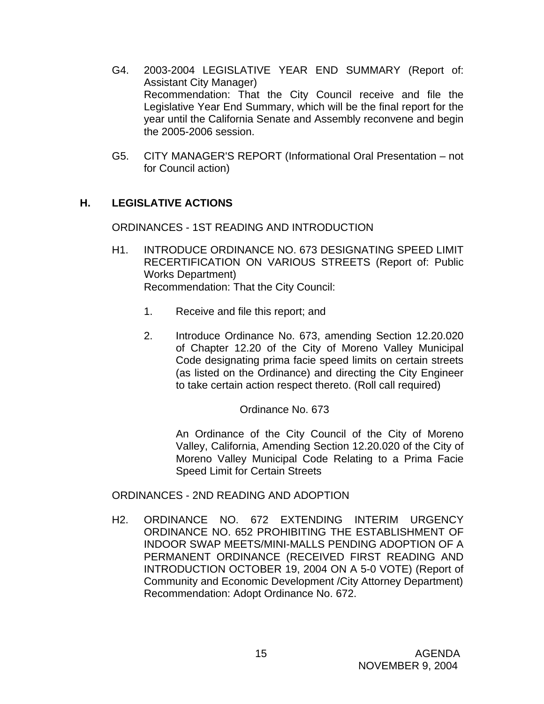- G4. 2003-2004 LEGISLATIVE YEAR END SUMMARY (Report of: Assistant City Manager) Recommendation: That the City Council receive and file the Legislative Year End Summary, which will be the final report for the year until the California Senate and Assembly reconvene and begin the 2005-2006 session.
- G5. CITY MANAGER'S REPORT (Informational Oral Presentation not for Council action)

# **H. LEGISLATIVE ACTIONS**

ORDINANCES - 1ST READING AND INTRODUCTION

- H1. INTRODUCE ORDINANCE NO. 673 DESIGNATING SPEED LIMIT RECERTIFICATION ON VARIOUS STREETS (Report of: Public Works Department) Recommendation: That the City Council:
	- 1. Receive and file this report; and
	- 2. Introduce Ordinance No. 673, amending Section 12.20.020 of Chapter 12.20 of the City of Moreno Valley Municipal Code designating prima facie speed limits on certain streets (as listed on the Ordinance) and directing the City Engineer to take certain action respect thereto. (Roll call required)

Ordinance No. 673

An Ordinance of the City Council of the City of Moreno Valley, California, Amending Section 12.20.020 of the City of Moreno Valley Municipal Code Relating to a Prima Facie Speed Limit for Certain Streets

ORDINANCES - 2ND READING AND ADOPTION

H2. ORDINANCE NO. 672 EXTENDING INTERIM URGENCY ORDINANCE NO. 652 PROHIBITING THE ESTABLISHMENT OF INDOOR SWAP MEETS/MINI-MALLS PENDING ADOPTION OF A PERMANENT ORDINANCE (RECEIVED FIRST READING AND INTRODUCTION OCTOBER 19, 2004 ON A 5-0 VOTE) (Report of Community and Economic Development /City Attorney Department) Recommendation: Adopt Ordinance No. 672.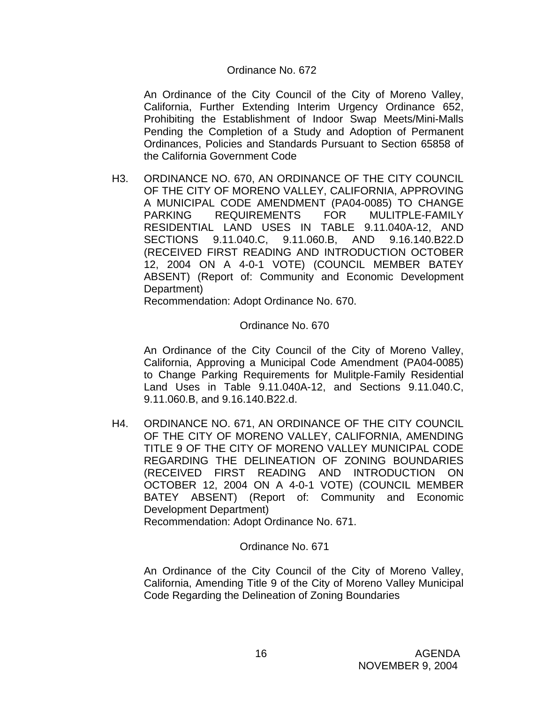#### Ordinance No. 672

 An Ordinance of the City Council of the City of Moreno Valley, California, Further Extending Interim Urgency Ordinance 652, Prohibiting the Establishment of Indoor Swap Meets/Mini-Malls Pending the Completion of a Study and Adoption of Permanent Ordinances, Policies and Standards Pursuant to Section 65858 of the California Government Code

H3. ORDINANCE NO. 670, AN ORDINANCE OF THE CITY COUNCIL OF THE CITY OF MORENO VALLEY, CALIFORNIA, APPROVING A MUNICIPAL CODE AMENDMENT (PA04-0085) TO CHANGE PARKING REQUIREMENTS FOR MULITPLE-FAMILY RESIDENTIAL LAND USES IN TABLE 9.11.040A-12, AND SECTIONS 9.11.040.C, 9.11.060.B, AND 9.16.140.B22.D (RECEIVED FIRST READING AND INTRODUCTION OCTOBER 12, 2004 ON A 4-0-1 VOTE) (COUNCIL MEMBER BATEY ABSENT) (Report of: Community and Economic Development Department)

Recommendation: Adopt Ordinance No. 670.

#### Ordinance No. 670

 An Ordinance of the City Council of the City of Moreno Valley, California, Approving a Municipal Code Amendment (PA04-0085) to Change Parking Requirements for Mulitple-Family Residential Land Uses in Table 9.11.040A-12, and Sections 9.11.040.C, 9.11.060.B, and 9.16.140.B22.d.

H4. ORDINANCE NO. 671, AN ORDINANCE OF THE CITY COUNCIL OF THE CITY OF MORENO VALLEY, CALIFORNIA, AMENDING TITLE 9 OF THE CITY OF MORENO VALLEY MUNICIPAL CODE REGARDING THE DELINEATION OF ZONING BOUNDARIES (RECEIVED FIRST READING AND INTRODUCTION ON OCTOBER 12, 2004 ON A 4-0-1 VOTE) (COUNCIL MEMBER BATEY ABSENT) (Report of: Community and Economic Development Department)

Recommendation: Adopt Ordinance No. 671.

### Ordinance No. 671

 An Ordinance of the City Council of the City of Moreno Valley, California, Amending Title 9 of the City of Moreno Valley Municipal Code Regarding the Delineation of Zoning Boundaries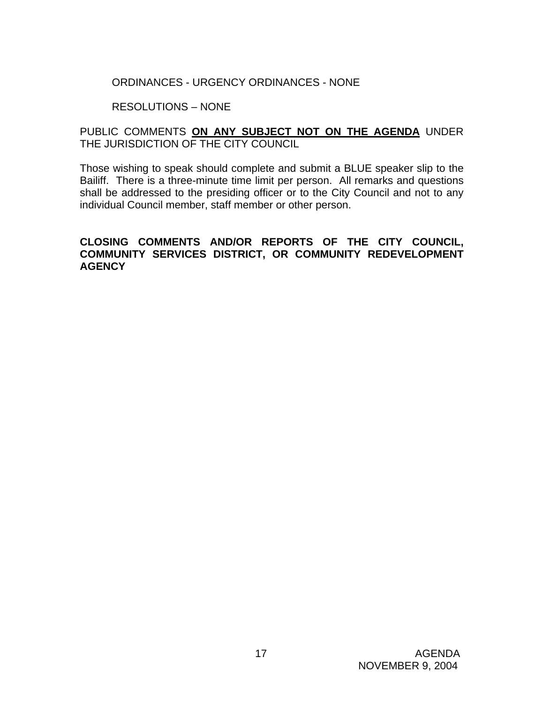### ORDINANCES - URGENCY ORDINANCES - NONE

## RESOLUTIONS – NONE

## PUBLIC COMMENTS **ON ANY SUBJECT NOT ON THE AGENDA** UNDER THE JURISDICTION OF THE CITY COUNCIL

Those wishing to speak should complete and submit a BLUE speaker slip to the Bailiff. There is a three-minute time limit per person. All remarks and questions shall be addressed to the presiding officer or to the City Council and not to any individual Council member, staff member or other person.

# **CLOSING COMMENTS AND/OR REPORTS OF THE CITY COUNCIL, COMMUNITY SERVICES DISTRICT, OR COMMUNITY REDEVELOPMENT AGENCY**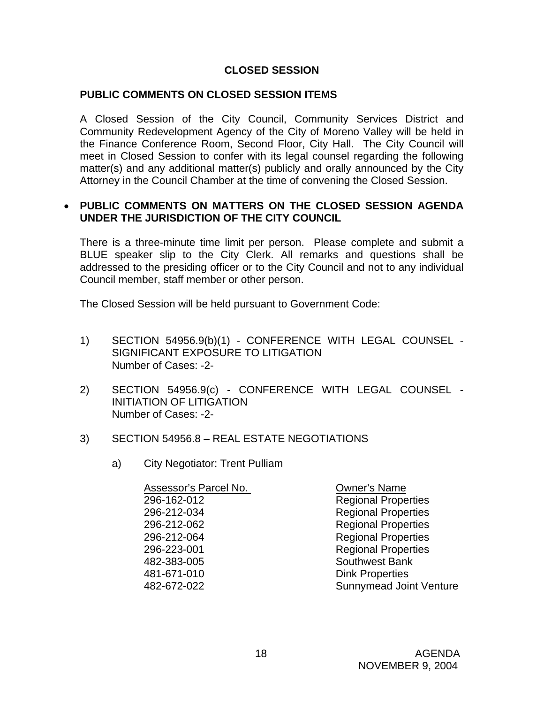# **CLOSED SESSION**

### **PUBLIC COMMENTS ON CLOSED SESSION ITEMS**

A Closed Session of the City Council, Community Services District and Community Redevelopment Agency of the City of Moreno Valley will be held in the Finance Conference Room, Second Floor, City Hall. The City Council will meet in Closed Session to confer with its legal counsel regarding the following matter(s) and any additional matter(s) publicly and orally announced by the City Attorney in the Council Chamber at the time of convening the Closed Session.

## • **PUBLIC COMMENTS ON MATTERS ON THE CLOSED SESSION AGENDA UNDER THE JURISDICTION OF THE CITY COUNCIL**

There is a three-minute time limit per person. Please complete and submit a BLUE speaker slip to the City Clerk. All remarks and questions shall be addressed to the presiding officer or to the City Council and not to any individual Council member, staff member or other person.

The Closed Session will be held pursuant to Government Code:

- 1) SECTION 54956.9(b)(1) CONFERENCE WITH LEGAL COUNSEL SIGNIFICANT EXPOSURE TO LITIGATION Number of Cases: -2-
- 2) SECTION 54956.9(c) CONFERENCE WITH LEGAL COUNSEL INITIATION OF LITIGATION Number of Cases: -2-
- 3) SECTION 54956.8 REAL ESTATE NEGOTIATIONS
	- a) City Negotiator: Trent Pulliam

| Assessor's Parcel No. | <b>Owner's Name</b>            |
|-----------------------|--------------------------------|
| 296-162-012           | <b>Regional Properties</b>     |
| 296-212-034           | <b>Regional Properties</b>     |
| 296-212-062           | <b>Regional Properties</b>     |
| 296-212-064           | <b>Regional Properties</b>     |
| 296-223-001           | <b>Regional Properties</b>     |
| 482-383-005           | Southwest Bank                 |
| 481-671-010           | <b>Dink Properties</b>         |
| 482-672-022           | <b>Sunnymead Joint Venture</b> |
|                       |                                |